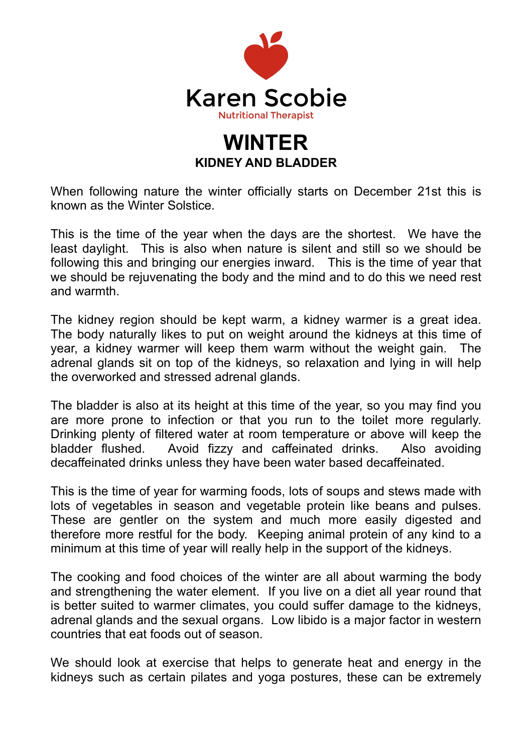

## **WINTER KIDNEY AND BLADDER**

When following nature the winter officially starts on December 21st this is known as the Winter Solstice.

This is the time of the year when the days are the shortest. We have the least daylight. This is also when nature is silent and still so we should be following this and bringing our energies inward. This is the time of year that we should be rejuvenating the body and the mind and to do this we need rest and warmth.

The kidney region should be kept warm, a kidney warmer is a great idea. The body naturally likes to put on weight around the kidneys at this time of year, a kidney warmer will keep them warm without the weight gain. The adrenal glands sit on top of the kidneys, so relaxation and lying in will help the overworked and stressed adrenal glands.

The bladder is also at its height at this time of the year, so you may find you are more prone to infection or that you run to the toilet more regularly. Drinking plenty of filtered water at room temperature or above will keep the bladder flushed. Avoid fizzy and caffeinated drinks. Also avoiding decaffeinated drinks unless they have been water based decaffeinated.

This is the time of year for warming foods, lots of soups and stews made with lots of vegetables in season and vegetable protein like beans and pulses. These are gentler on the system and much more easily digested and therefore more restful for the body. Keeping animal protein of any kind to a minimum at this time of year will really help in the support of the kidneys.

The cooking and food choices of the winter are all about warming the body and strengthening the water element. If you live on a diet all year round that is better suited to warmer climates, you could suffer damage to the kidneys, adrenal glands and the sexual organs. Low libido is a major factor in western countries that eat foods out of season.

We should look at exercise that helps to generate heat and energy in the kidneys such as certain pilates and yoga postures, these can be extremely